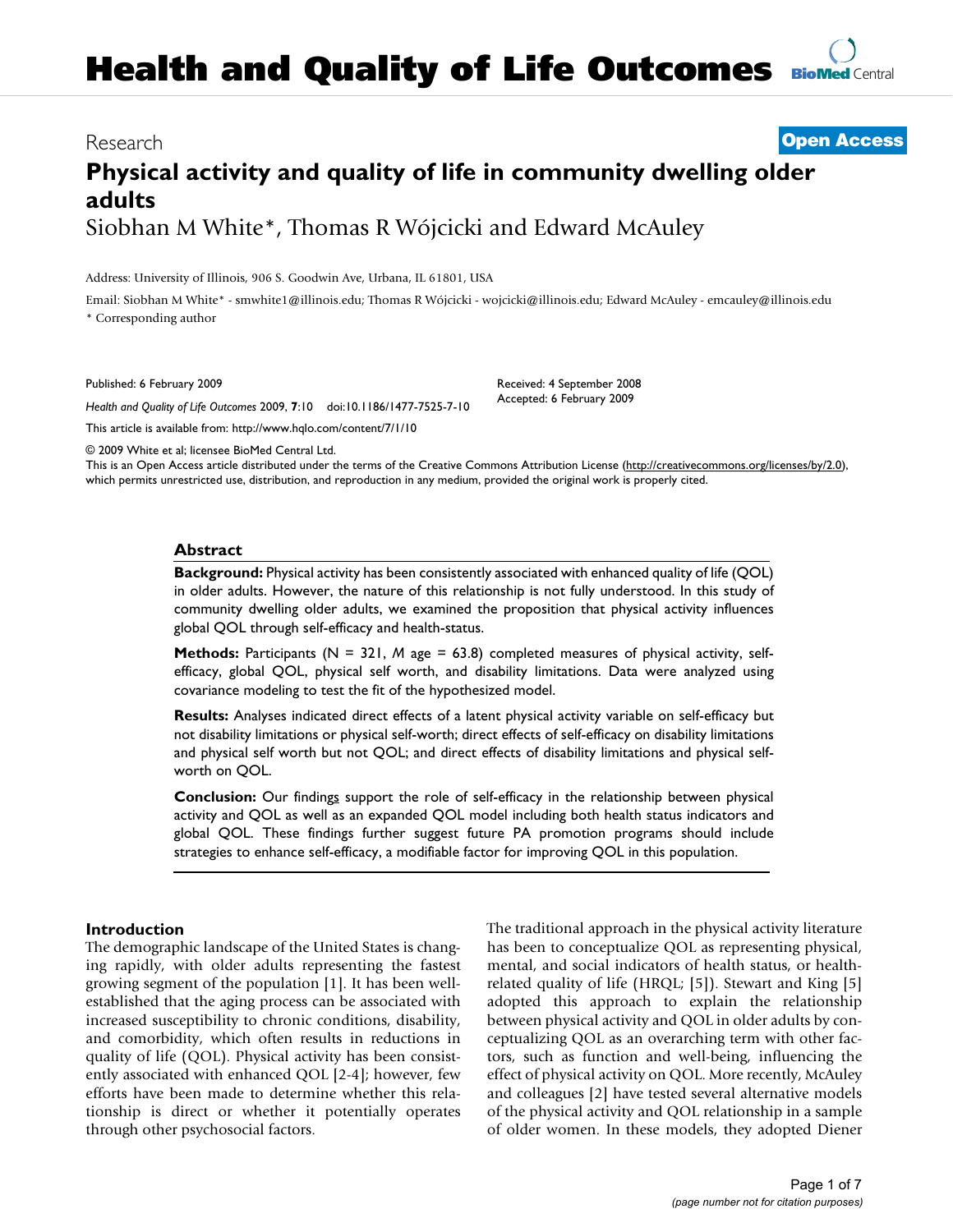# **[BioMed](http://www.biomedcentral.com/)** Central **Health and Quality of Life Outcomes**

# Research **[Open Access](http://www.biomedcentral.com/info/about/charter/)**

# **Physical activity and quality of life in community dwelling older adults** Siobhan M White\*, Thomas R Wójcicki and Edward McAuley

Address: University of Illinois, 906 S. Goodwin Ave, Urbana, IL 61801, USA

Email: Siobhan M White\* - smwhite1@illinois.edu; Thomas R Wójcicki - wojcicki@illinois.edu; Edward McAuley - emcauley@illinois.edu \* Corresponding author

Published: 6 February 2009

*Health and Quality of Life Outcomes* 2009, **7**:10 doi:10.1186/1477-7525-7-10

[This article is available from: http://www.hqlo.com/content/7/1/10](http://www.hqlo.com/content/7/1/10)

© 2009 White et al; licensee BioMed Central Ltd.

This is an Open Access article distributed under the terms of the Creative Commons Attribution License [\(http://creativecommons.org/licenses/by/2.0\)](http://creativecommons.org/licenses/by/2.0), which permits unrestricted use, distribution, and reproduction in any medium, provided the original work is properly cited.

Received: 4 September 2008 Accepted: 6 February 2009

#### **Abstract**

**Background:** Physical activity has been consistently associated with enhanced quality of life (QOL) in older adults. However, the nature of this relationship is not fully understood. In this study of community dwelling older adults, we examined the proposition that physical activity influences global QOL through self-efficacy and health-status.

**Methods:** Participants (N = 321, *M* age = 63.8) completed measures of physical activity, selfefficacy, global QOL, physical self worth, and disability limitations. Data were analyzed using covariance modeling to test the fit of the hypothesized model.

**Results:** Analyses indicated direct effects of a latent physical activity variable on self-efficacy but not disability limitations or physical self-worth; direct effects of self-efficacy on disability limitations and physical self worth but not QOL; and direct effects of disability limitations and physical selfworth on QOL.

**Conclusion:** Our findings support the role of self-efficacy in the relationship between physical activity and QOL as well as an expanded QOL model including both health status indicators and global QOL. These findings further suggest future PA promotion programs should include strategies to enhance self-efficacy, a modifiable factor for improving QOL in this population.

#### **Introduction**

The demographic landscape of the United States is changing rapidly, with older adults representing the fastest growing segment of the population [1]. It has been wellestablished that the aging process can be associated with increased susceptibility to chronic conditions, disability, and comorbidity, which often results in reductions in quality of life (QOL). Physical activity has been consistently associated with enhanced QOL [2-4]; however, few efforts have been made to determine whether this relationship is direct or whether it potentially operates through other psychosocial factors.

The traditional approach in the physical activity literature has been to conceptualize QOL as representing physical, mental, and social indicators of health status, or healthrelated quality of life (HRQL; [5]). Stewart and King [5] adopted this approach to explain the relationship between physical activity and QOL in older adults by conceptualizing QOL as an overarching term with other factors, such as function and well-being, influencing the effect of physical activity on QOL. More recently, McAuley and colleagues [2] have tested several alternative models of the physical activity and QOL relationship in a sample of older women. In these models, they adopted Diener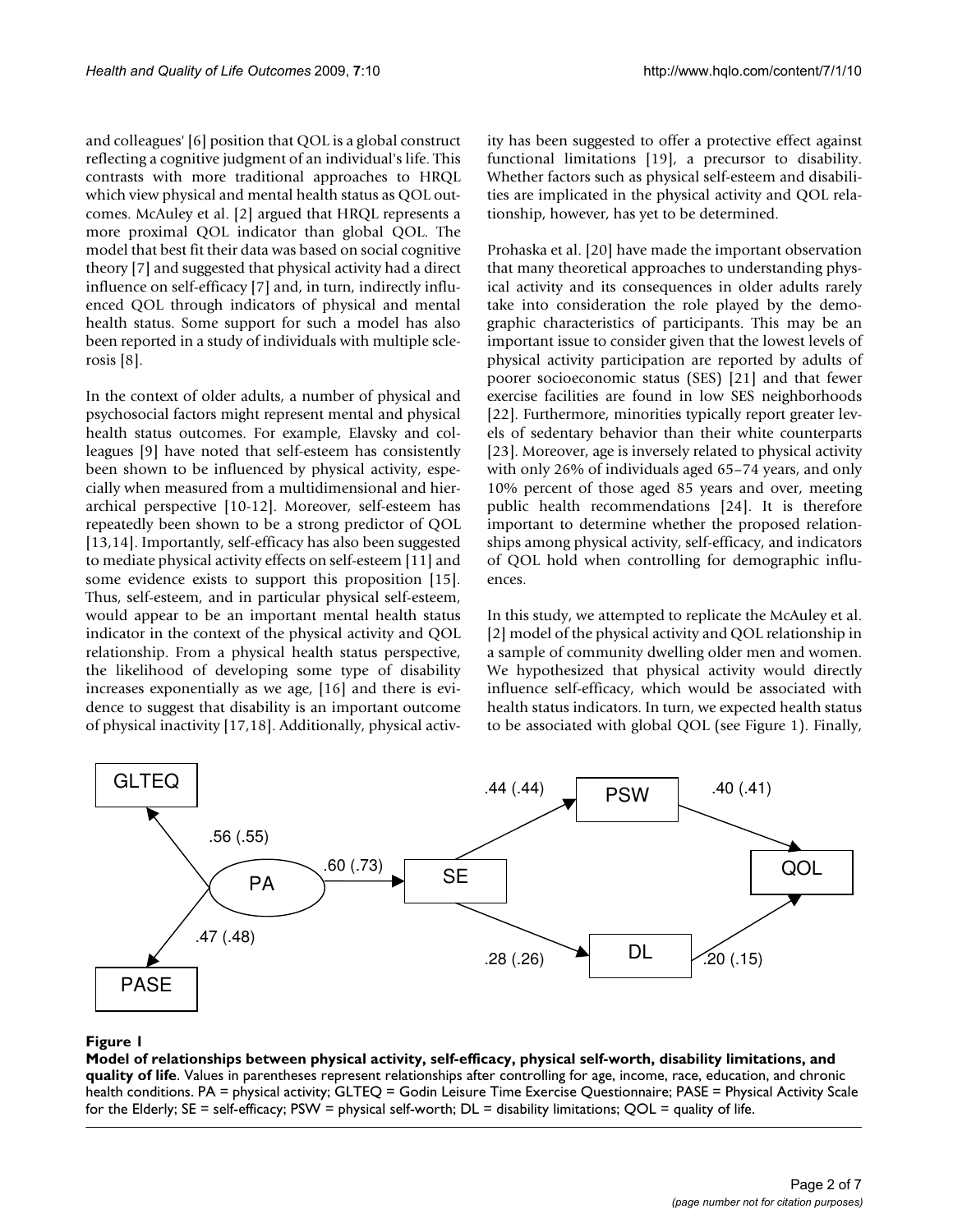and colleagues' [6] position that QOL is a global construct reflecting a cognitive judgment of an individual's life. This contrasts with more traditional approaches to HRQL which view physical and mental health status as QOL outcomes. McAuley et al. [2] argued that HRQL represents a more proximal QOL indicator than global QOL. The model that best fit their data was based on social cognitive theory [7] and suggested that physical activity had a direct influence on self-efficacy [7] and, in turn, indirectly influenced QOL through indicators of physical and mental health status. Some support for such a model has also been reported in a study of individuals with multiple sclerosis [8].

In the context of older adults, a number of physical and psychosocial factors might represent mental and physical health status outcomes. For example, Elavsky and colleagues [9] have noted that self-esteem has consistently been shown to be influenced by physical activity, especially when measured from a multidimensional and hierarchical perspective [10-12]. Moreover, self-esteem has repeatedly been shown to be a strong predictor of QOL [13,14]. Importantly, self-efficacy has also been suggested to mediate physical activity effects on self-esteem [11] and some evidence exists to support this proposition [15]. Thus, self-esteem, and in particular physical self-esteem, would appear to be an important mental health status indicator in the context of the physical activity and QOL relationship. From a physical health status perspective, the likelihood of developing some type of disability increases exponentially as we age, [16] and there is evidence to suggest that disability is an important outcome of physical inactivity [17,18]. Additionally, physical activity has been suggested to offer a protective effect against functional limitations [19], a precursor to disability. Whether factors such as physical self-esteem and disabilities are implicated in the physical activity and QOL relationship, however, has yet to be determined.

Prohaska et al. [20] have made the important observation that many theoretical approaches to understanding physical activity and its consequences in older adults rarely take into consideration the role played by the demographic characteristics of participants. This may be an important issue to consider given that the lowest levels of physical activity participation are reported by adults of poorer socioeconomic status (SES) [21] and that fewer exercise facilities are found in low SES neighborhoods [22]. Furthermore, minorities typically report greater levels of sedentary behavior than their white counterparts [23]. Moreover, age is inversely related to physical activity with only 26% of individuals aged 65–74 years, and only 10% percent of those aged 85 years and over, meeting public health recommendations [24]. It is therefore important to determine whether the proposed relationships among physical activity, self-efficacy, and indicators of QOL hold when controlling for demographic influences.

In this study, we attempted to replicate the McAuley et al. [2] model of the physical activity and QOL relationship in a sample of community dwelling older men and women. We hypothesized that physical activity would directly influence self-efficacy, which would be associated with health status indicators. In turn, we expected health status to be associated with global QOL (see Figure 1). Finally,



# **Figure 1** Model of relationships between physical activity, self-worth, disability limitations, and  $\alpha$

**Model of relationships between physical activity, self-efficacy, physical self-worth, disability limitations, and quality of life**. Values in parentheses represent relationships after controlling for age, income, race, education, and chronic health conditions. PA = physical activity; GLTEQ = Godin Leisure Time Exercise Questionnaire; PASE = Physical Activity Scale for the Elderly; SE = self-efficacy; PSW = physical self-worth;  $DL =$  disability limitations;  $QOL =$  quality of life.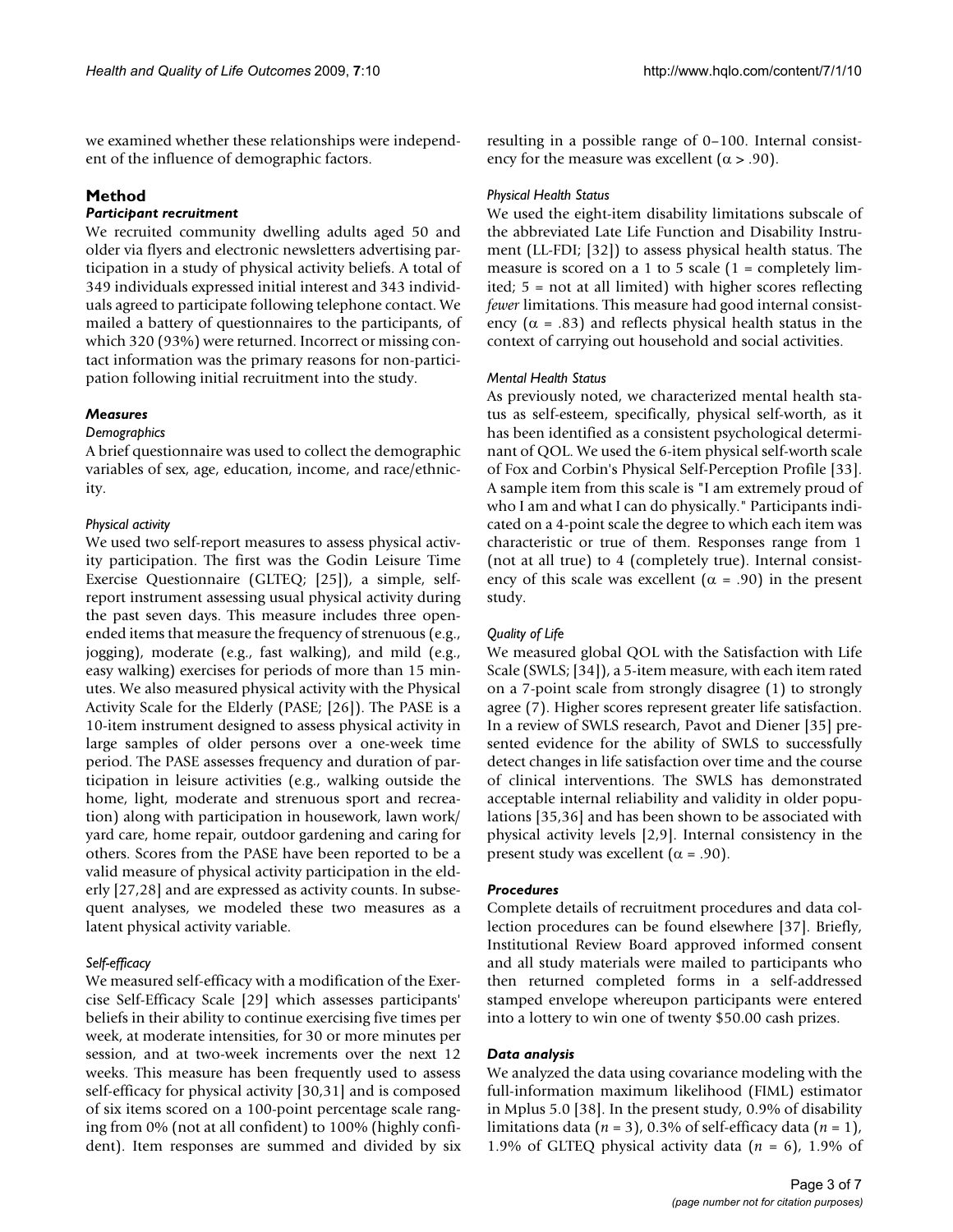we examined whether these relationships were independent of the influence of demographic factors.

# **Method**

#### *Participant recruitment*

We recruited community dwelling adults aged 50 and older via flyers and electronic newsletters advertising participation in a study of physical activity beliefs. A total of 349 individuals expressed initial interest and 343 individuals agreed to participate following telephone contact. We mailed a battery of questionnaires to the participants, of which 320 (93%) were returned. Incorrect or missing contact information was the primary reasons for non-participation following initial recruitment into the study.

# *Measures*

#### *Demographics*

A brief questionnaire was used to collect the demographic variables of sex, age, education, income, and race/ethnicity.

# *Physical activity*

We used two self-report measures to assess physical activity participation. The first was the Godin Leisure Time Exercise Questionnaire (GLTEQ; [25]), a simple, selfreport instrument assessing usual physical activity during the past seven days. This measure includes three openended items that measure the frequency of strenuous (e.g., jogging), moderate (e.g., fast walking), and mild (e.g., easy walking) exercises for periods of more than 15 minutes. We also measured physical activity with the Physical Activity Scale for the Elderly (PASE; [26]). The PASE is a 10-item instrument designed to assess physical activity in large samples of older persons over a one-week time period. The PASE assesses frequency and duration of participation in leisure activities (e.g., walking outside the home, light, moderate and strenuous sport and recreation) along with participation in housework, lawn work/ yard care, home repair, outdoor gardening and caring for others. Scores from the PASE have been reported to be a valid measure of physical activity participation in the elderly [27,28] and are expressed as activity counts. In subsequent analyses, we modeled these two measures as a latent physical activity variable.

# *Self-efficacy*

We measured self-efficacy with a modification of the Exercise Self-Efficacy Scale [29] which assesses participants' beliefs in their ability to continue exercising five times per week, at moderate intensities, for 30 or more minutes per session, and at two-week increments over the next 12 weeks. This measure has been frequently used to assess self-efficacy for physical activity [30,31] and is composed of six items scored on a 100-point percentage scale ranging from 0% (not at all confident) to 100% (highly confident). Item responses are summed and divided by six resulting in a possible range of 0–100. Internal consistency for the measure was excellent ( $\alpha$  > .90).

# *Physical Health Status*

We used the eight-item disability limitations subscale of the abbreviated Late Life Function and Disability Instrument (LL-FDI; [32]) to assess physical health status. The measure is scored on a 1 to 5 scale  $(1 = \text{completely lim-}$ ited; 5 = not at all limited) with higher scores reflecting *fewer* limitations. This measure had good internal consistency ( $\alpha$  = .83) and reflects physical health status in the context of carrying out household and social activities.

#### *Mental Health Status*

As previously noted, we characterized mental health status as self-esteem, specifically, physical self-worth, as it has been identified as a consistent psychological determinant of QOL. We used the 6-item physical self-worth scale of Fox and Corbin's Physical Self-Perception Profile [33]. A sample item from this scale is "I am extremely proud of who I am and what I can do physically." Participants indicated on a 4-point scale the degree to which each item was characteristic or true of them. Responses range from 1 (not at all true) to 4 (completely true). Internal consistency of this scale was excellent ( $\alpha$  = .90) in the present study.

# *Quality of Life*

We measured global QOL with the Satisfaction with Life Scale (SWLS; [34]), a 5-item measure, with each item rated on a 7-point scale from strongly disagree (1) to strongly agree (7). Higher scores represent greater life satisfaction. In a review of SWLS research, Pavot and Diener [35] presented evidence for the ability of SWLS to successfully detect changes in life satisfaction over time and the course of clinical interventions. The SWLS has demonstrated acceptable internal reliability and validity in older populations [35,36] and has been shown to be associated with physical activity levels [2,9]. Internal consistency in the present study was excellent ( $\alpha$  = .90).

# *Procedures*

Complete details of recruitment procedures and data collection procedures can be found elsewhere [37]. Briefly, Institutional Review Board approved informed consent and all study materials were mailed to participants who then returned completed forms in a self-addressed stamped envelope whereupon participants were entered into a lottery to win one of twenty \$50.00 cash prizes.

# *Data analysis*

We analyzed the data using covariance modeling with the full-information maximum likelihood (FIML) estimator in Mplus 5.0 [38]. In the present study, 0.9% of disability limitations data (*n* = 3), 0.3% of self-efficacy data (*n* = 1), 1.9% of GLTEQ physical activity data  $(n = 6)$ , 1.9% of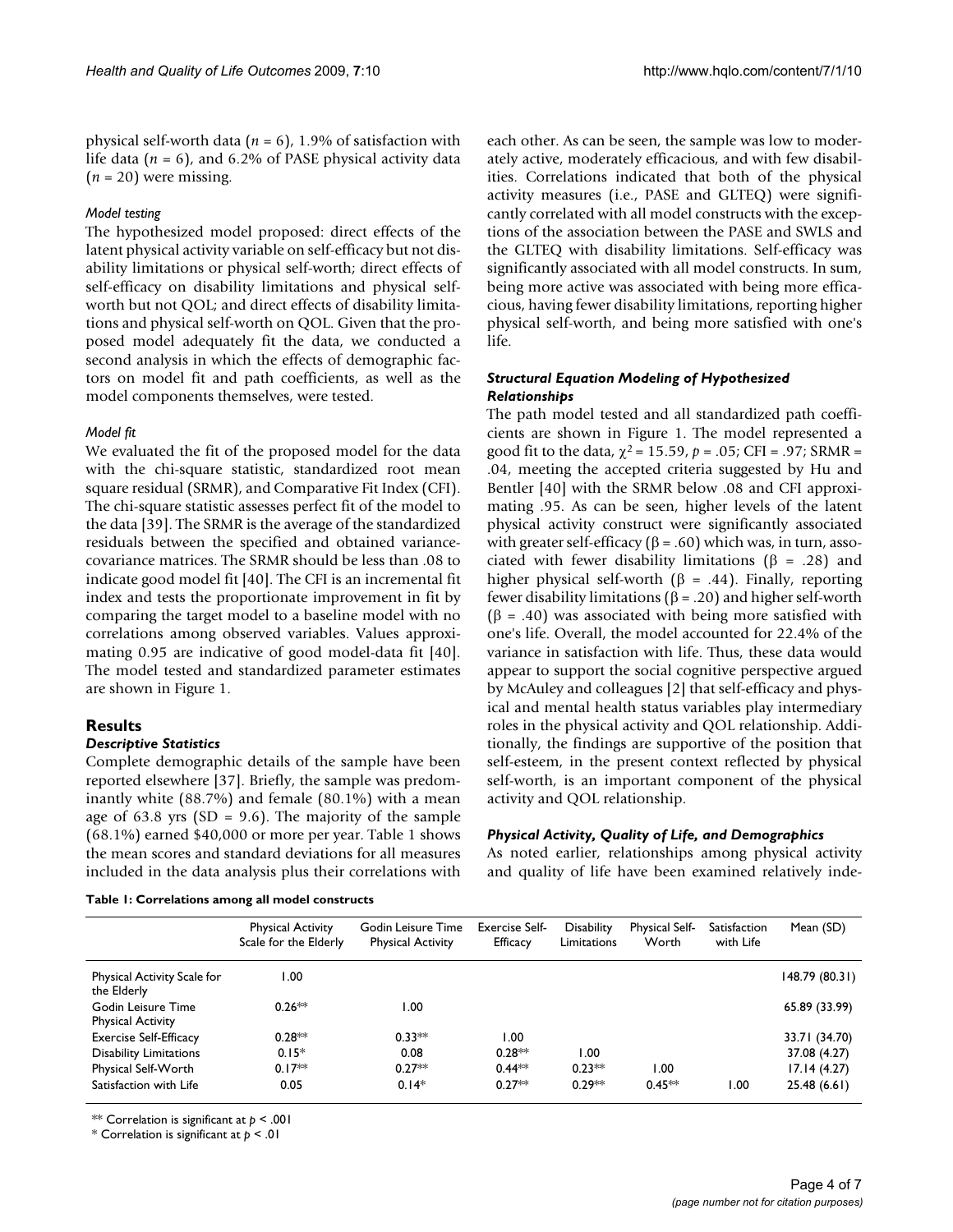physical self-worth data (*n* = 6), 1.9% of satisfaction with life data  $(n = 6)$ , and 6.2% of PASE physical activity data  $(n = 20)$  were missing.

#### *Model testing*

The hypothesized model proposed: direct effects of the latent physical activity variable on self-efficacy but not disability limitations or physical self-worth; direct effects of self-efficacy on disability limitations and physical selfworth but not QOL; and direct effects of disability limitations and physical self-worth on QOL. Given that the proposed model adequately fit the data, we conducted a second analysis in which the effects of demographic factors on model fit and path coefficients, as well as the model components themselves, were tested.

#### *Model fit*

We evaluated the fit of the proposed model for the data with the chi-square statistic, standardized root mean square residual (SRMR), and Comparative Fit Index (CFI). The chi-square statistic assesses perfect fit of the model to the data [39]. The SRMR is the average of the standardized residuals between the specified and obtained variancecovariance matrices. The SRMR should be less than .08 to indicate good model fit [40]. The CFI is an incremental fit index and tests the proportionate improvement in fit by comparing the target model to a baseline model with no correlations among observed variables. Values approximating 0.95 are indicative of good model-data fit [40]. The model tested and standardized parameter estimates are shown in Figure 1.

# **Results**

# *Descriptive Statistics*

Complete demographic details of the sample have been reported elsewhere [37]. Briefly, the sample was predominantly white (88.7%) and female (80.1%) with a mean age of 63.8 yrs ( $SD = 9.6$ ). The majority of the sample (68.1%) earned \$40,000 or more per year. Table 1 shows the mean scores and standard deviations for all measures included in the data analysis plus their correlations with

**Table 1: Correlations among all model constructs**

each other. As can be seen, the sample was low to moderately active, moderately efficacious, and with few disabilities. Correlations indicated that both of the physical activity measures (i.e., PASE and GLTEQ) were significantly correlated with all model constructs with the exceptions of the association between the PASE and SWLS and the GLTEQ with disability limitations. Self-efficacy was significantly associated with all model constructs. In sum, being more active was associated with being more efficacious, having fewer disability limitations, reporting higher physical self-worth, and being more satisfied with one's life.

#### *Structural Equation Modeling of Hypothesized Relationships*

The path model tested and all standardized path coefficients are shown in Figure 1. The model represented a good fit to the data,  $\chi^2$  = 15.59,  $p$  = .05; CFI = .97; SRMR = .04, meeting the accepted criteria suggested by Hu and Bentler [40] with the SRMR below .08 and CFI approximating .95. As can be seen, higher levels of the latent physical activity construct were significantly associated with greater self-efficacy ( $\beta$  = .60) which was, in turn, associated with fewer disability limitations ( $\beta$  = .28) and higher physical self-worth (β = .44). Finally, reporting fewer disability limitations (β = .20) and higher self-worth  $(β = .40)$  was associated with being more satisfied with one's life. Overall, the model accounted for 22.4% of the variance in satisfaction with life. Thus, these data would appear to support the social cognitive perspective argued by McAuley and colleagues [2] that self-efficacy and physical and mental health status variables play intermediary roles in the physical activity and QOL relationship. Additionally, the findings are supportive of the position that self-esteem, in the present context reflected by physical self-worth, is an important component of the physical activity and QOL relationship.

#### *Physical Activity, Quality of Life, and Demographics*

As noted earlier, relationships among physical activity and quality of life have been examined relatively inde-

|                                                | Physical Activity<br>Scale for the Elderly | Godin Leisure Time<br><b>Physical Activity</b> | <b>Exercise Self-</b><br>Efficacy | <b>Disability</b><br>Limitations | <b>Physical Self-</b><br>Worth | Satisfaction<br>with Life | Mean (SD)     |
|------------------------------------------------|--------------------------------------------|------------------------------------------------|-----------------------------------|----------------------------------|--------------------------------|---------------------------|---------------|
| Physical Activity Scale for<br>the Elderly     | 1.00                                       |                                                |                                   |                                  |                                |                           | 148.79(80.31) |
| Godin Leisure Time<br><b>Physical Activity</b> | $0.26***$                                  | 1.00                                           |                                   |                                  |                                |                           | 65.89 (33.99) |
| <b>Exercise Self-Efficacy</b>                  | $0.28**$                                   | $0.33**$                                       | 1.00                              |                                  |                                |                           | 33.71 (34.70) |
| <b>Disability Limitations</b>                  | $0.15*$                                    | 0.08                                           | $0.28**$                          | 1.00                             |                                |                           | 37.08 (4.27)  |
| Physical Self-Worth                            | $0.17**$                                   | $0.27**$                                       | $0.44***$                         | $0.23**$                         | I .00                          |                           | 17.14(4.27)   |
| Satisfaction with Life                         | 0.05                                       | $0.14*$                                        | $0.27**$                          | $0.29**$                         | $0.45***$                      | 1.00                      | 25.48(6.61)   |

\*\* Correlation is significant at *p* < .001

\* Correlation is significant at *p* < .01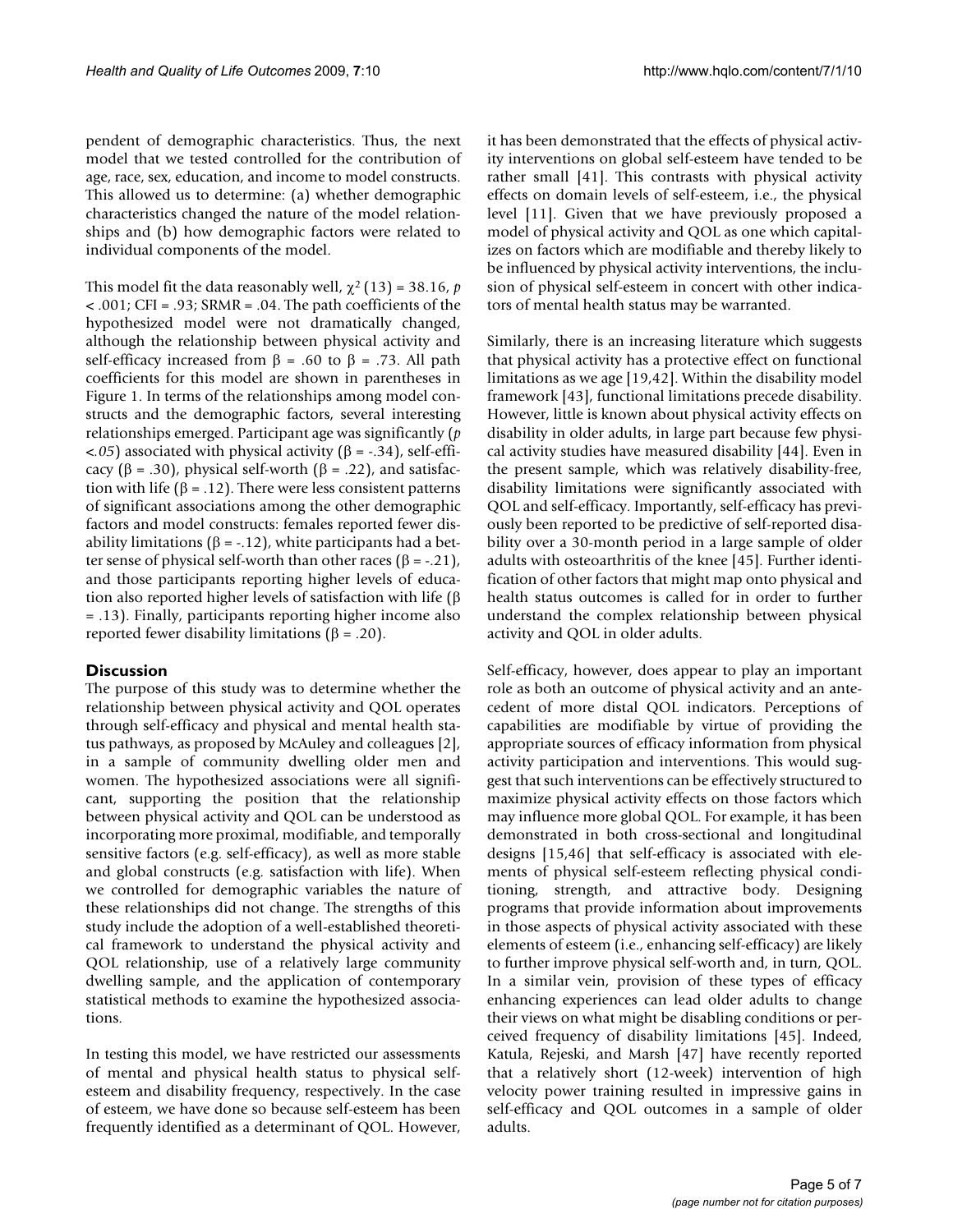pendent of demographic characteristics. Thus, the next model that we tested controlled for the contribution of age, race, sex, education, and income to model constructs. This allowed us to determine: (a) whether demographic characteristics changed the nature of the model relationships and (b) how demographic factors were related to individual components of the model.

This model fit the data reasonably well,  $\chi^2$  (13) = 38.16, *p*  $\epsilon$ .001; CFI = .93; SRMR = .04. The path coefficients of the hypothesized model were not dramatically changed, although the relationship between physical activity and self-efficacy increased from  $β = .60$  to  $β = .73$ . All path coefficients for this model are shown in parentheses in Figure 1. In terms of the relationships among model constructs and the demographic factors, several interesting relationships emerged. Participant age was significantly (*p*  $<$ .05) associated with physical activity (β = -.34), self-efficacy ( $\beta$  = .30), physical self-worth ( $\beta$  = .22), and satisfaction with life ( $\beta$  = .12). There were less consistent patterns of significant associations among the other demographic factors and model constructs: females reported fewer disability limitations ( $β = -.12$ ), white participants had a better sense of physical self-worth than other races ( $\beta$  = -.21), and those participants reporting higher levels of education also reported higher levels of satisfaction with life (β = .13). Finally, participants reporting higher income also reported fewer disability limitations ( $β = .20$ ).

#### **Discussion**

The purpose of this study was to determine whether the relationship between physical activity and QOL operates through self-efficacy and physical and mental health status pathways, as proposed by McAuley and colleagues [2], in a sample of community dwelling older men and women. The hypothesized associations were all significant, supporting the position that the relationship between physical activity and QOL can be understood as incorporating more proximal, modifiable, and temporally sensitive factors (e.g. self-efficacy), as well as more stable and global constructs (e.g. satisfaction with life). When we controlled for demographic variables the nature of these relationships did not change. The strengths of this study include the adoption of a well-established theoretical framework to understand the physical activity and QOL relationship, use of a relatively large community dwelling sample, and the application of contemporary statistical methods to examine the hypothesized associations.

In testing this model, we have restricted our assessments of mental and physical health status to physical selfesteem and disability frequency, respectively. In the case of esteem, we have done so because self-esteem has been frequently identified as a determinant of QOL. However,

it has been demonstrated that the effects of physical activity interventions on global self-esteem have tended to be rather small [41]. This contrasts with physical activity effects on domain levels of self-esteem, i.e., the physical level [11]. Given that we have previously proposed a model of physical activity and QOL as one which capitalizes on factors which are modifiable and thereby likely to be influenced by physical activity interventions, the inclusion of physical self-esteem in concert with other indicators of mental health status may be warranted.

Similarly, there is an increasing literature which suggests that physical activity has a protective effect on functional limitations as we age [19,42]. Within the disability model framework [43], functional limitations precede disability. However, little is known about physical activity effects on disability in older adults, in large part because few physical activity studies have measured disability [44]. Even in the present sample, which was relatively disability-free, disability limitations were significantly associated with QOL and self-efficacy. Importantly, self-efficacy has previously been reported to be predictive of self-reported disability over a 30-month period in a large sample of older adults with osteoarthritis of the knee [45]. Further identification of other factors that might map onto physical and health status outcomes is called for in order to further understand the complex relationship between physical activity and QOL in older adults.

Self-efficacy, however, does appear to play an important role as both an outcome of physical activity and an antecedent of more distal QOL indicators. Perceptions of capabilities are modifiable by virtue of providing the appropriate sources of efficacy information from physical activity participation and interventions. This would suggest that such interventions can be effectively structured to maximize physical activity effects on those factors which may influence more global QOL. For example, it has been demonstrated in both cross-sectional and longitudinal designs [15,46] that self-efficacy is associated with elements of physical self-esteem reflecting physical conditioning, strength, and attractive body. Designing programs that provide information about improvements in those aspects of physical activity associated with these elements of esteem (i.e., enhancing self-efficacy) are likely to further improve physical self-worth and, in turn, QOL. In a similar vein, provision of these types of efficacy enhancing experiences can lead older adults to change their views on what might be disabling conditions or perceived frequency of disability limitations [45]. Indeed, Katula, Rejeski, and Marsh [47] have recently reported that a relatively short (12-week) intervention of high velocity power training resulted in impressive gains in self-efficacy and QOL outcomes in a sample of older adults.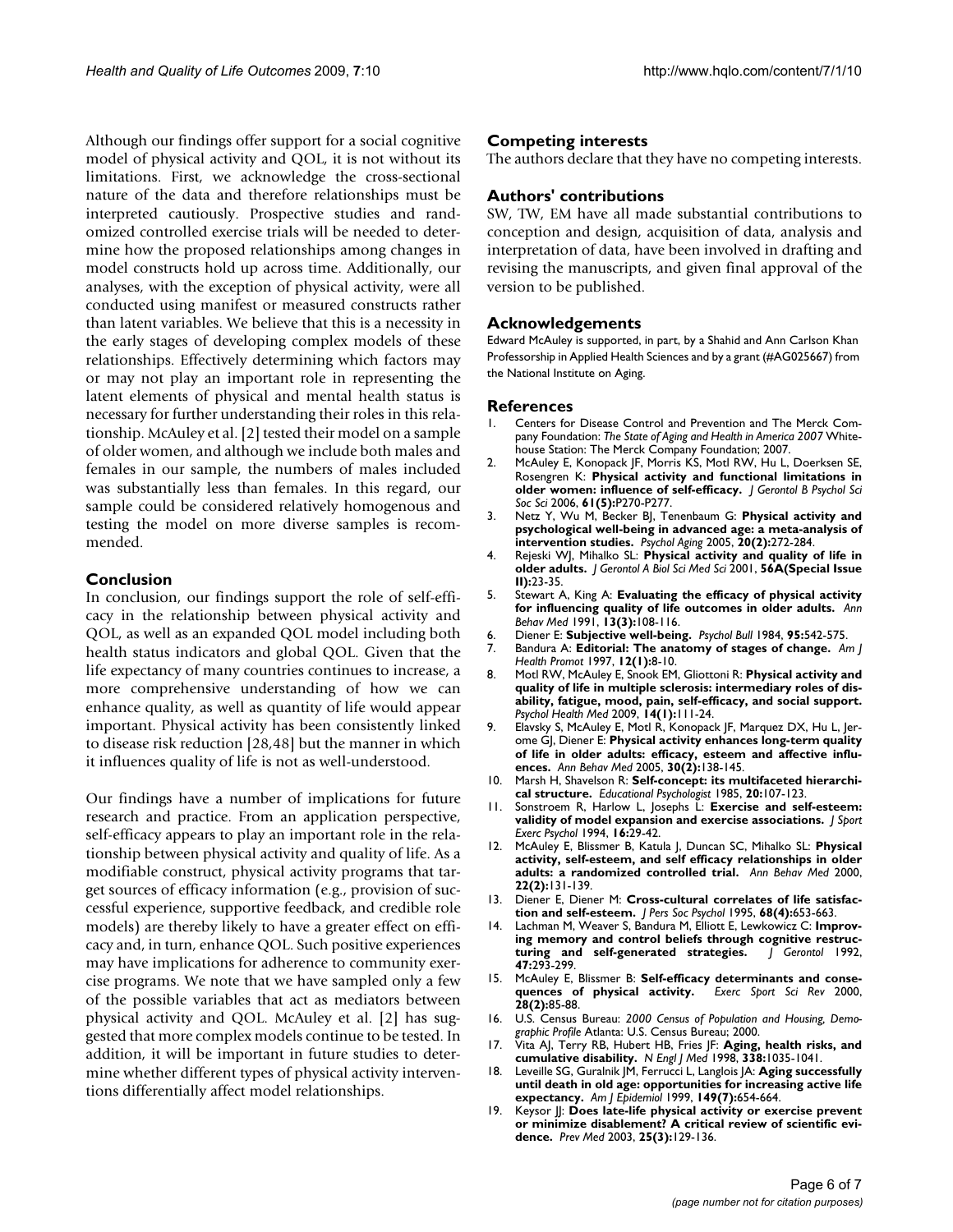Although our findings offer support for a social cognitive model of physical activity and QOL, it is not without its limitations. First, we acknowledge the cross-sectional nature of the data and therefore relationships must be interpreted cautiously. Prospective studies and randomized controlled exercise trials will be needed to determine how the proposed relationships among changes in model constructs hold up across time. Additionally, our analyses, with the exception of physical activity, were all conducted using manifest or measured constructs rather than latent variables. We believe that this is a necessity in the early stages of developing complex models of these relationships. Effectively determining which factors may or may not play an important role in representing the latent elements of physical and mental health status is necessary for further understanding their roles in this relationship. McAuley et al. [2] tested their model on a sample of older women, and although we include both males and females in our sample, the numbers of males included was substantially less than females. In this regard, our sample could be considered relatively homogenous and testing the model on more diverse samples is recommended.

# **Conclusion**

In conclusion, our findings support the role of self-efficacy in the relationship between physical activity and QOL, as well as an expanded QOL model including both health status indicators and global QOL. Given that the life expectancy of many countries continues to increase, a more comprehensive understanding of how we can enhance quality, as well as quantity of life would appear important. Physical activity has been consistently linked to disease risk reduction [28,48] but the manner in which it influences quality of life is not as well-understood.

Our findings have a number of implications for future research and practice. From an application perspective, self-efficacy appears to play an important role in the relationship between physical activity and quality of life. As a modifiable construct, physical activity programs that target sources of efficacy information (e.g., provision of successful experience, supportive feedback, and credible role models) are thereby likely to have a greater effect on efficacy and, in turn, enhance QOL. Such positive experiences may have implications for adherence to community exercise programs. We note that we have sampled only a few of the possible variables that act as mediators between physical activity and QOL. McAuley et al. [2] has suggested that more complex models continue to be tested. In addition, it will be important in future studies to determine whether different types of physical activity interventions differentially affect model relationships.

# **Competing interests**

The authors declare that they have no competing interests.

# **Authors' contributions**

SW, TW, EM have all made substantial contributions to conception and design, acquisition of data, analysis and interpretation of data, have been involved in drafting and revising the manuscripts, and given final approval of the version to be published.

# **Acknowledgements**

Edward McAuley is supported, in part, by a Shahid and Ann Carlson Khan Professorship in Applied Health Sciences and by a grant (#AG025667) from the National Institute on Aging.

#### **References**

- 1. Centers for Disease Control and Prevention and The Merck Company Foundation: *The State of Aging and Health in America 2007* Whitehouse Station: The Merck Company Foundation; 2007.
- 2. McAuley E, Konopack JF, Morris KS, Motl RW, Hu L, Doerksen SE, Rosengren K: **[Physical activity and functional limitations in](http://www.ncbi.nlm.nih.gov/entrez/query.fcgi?cmd=Retrieve&db=PubMed&dopt=Abstract&list_uids=16960230) [older women: influence of self-efficacy.](http://www.ncbi.nlm.nih.gov/entrez/query.fcgi?cmd=Retrieve&db=PubMed&dopt=Abstract&list_uids=16960230)** *J Gerontol B Psychol Sci Soc Sci* 2006, **61(5):**P270-P277.
- 3. Netz Y, Wu M, Becker BJ, Tenenbaum G: **[Physical activity and](http://www.ncbi.nlm.nih.gov/entrez/query.fcgi?cmd=Retrieve&db=PubMed&dopt=Abstract&list_uids=16029091) [psychological well-being in advanced age: a meta-analysis of](http://www.ncbi.nlm.nih.gov/entrez/query.fcgi?cmd=Retrieve&db=PubMed&dopt=Abstract&list_uids=16029091) [intervention studies.](http://www.ncbi.nlm.nih.gov/entrez/query.fcgi?cmd=Retrieve&db=PubMed&dopt=Abstract&list_uids=16029091)** *Psychol Aging* 2005, **20(2):**272-284.
- 4. Rejeski WJ, Mihalko SL: **Physical activity and quality of life in older adults.** *J Gerontol A Biol Sci Med Sci* 2001, **56A(Special Issue II):**23-35.
- 5. Stewart A, King A: **Evaluating the efficacy of physical activity for influencing quality of life outcomes in older adults.** *Ann Behav Med* 1991, **13(3):**108-116.
- 6. Diener E: **[Subjective well-being.](http://www.ncbi.nlm.nih.gov/entrez/query.fcgi?cmd=Retrieve&db=PubMed&dopt=Abstract&list_uids=6399758)** *Psychol Bull* 1984, **95:**542-575.
- 7. Bandura A: **[Editorial: The anatomy of stages of change.](http://www.ncbi.nlm.nih.gov/entrez/query.fcgi?cmd=Retrieve&db=PubMed&dopt=Abstract&list_uids=10170438)** *Am J Health Promot* 1997, **12(1):**8-10.
- 8. Motl RW, McAuley E, Snook EM, Gliottoni R: **[Physical activity and](http://www.ncbi.nlm.nih.gov/entrez/query.fcgi?cmd=Retrieve&db=PubMed&dopt=Abstract&list_uids=19085318) [quality of life in multiple sclerosis: intermediary roles of dis](http://www.ncbi.nlm.nih.gov/entrez/query.fcgi?cmd=Retrieve&db=PubMed&dopt=Abstract&list_uids=19085318)ability, fatigue, mood, pain, self-efficacy, and social support.** *Psychol Health Med* 2009, **14(1):**111-24.
- 9. Elavsky S, McAuley E, Motl R, Konopack JF, Marquez DX, Hu L, Jerome GJ, Diener E: **[Physical activity enhances long-term quality](http://www.ncbi.nlm.nih.gov/entrez/query.fcgi?cmd=Retrieve&db=PubMed&dopt=Abstract&list_uids=16173910) [of life in older adults: efficacy, esteem and affective influ](http://www.ncbi.nlm.nih.gov/entrez/query.fcgi?cmd=Retrieve&db=PubMed&dopt=Abstract&list_uids=16173910)[ences.](http://www.ncbi.nlm.nih.gov/entrez/query.fcgi?cmd=Retrieve&db=PubMed&dopt=Abstract&list_uids=16173910)** *Ann Behav Med* 2005, **30(2):**138-145.
- 10. Marsh H, Shavelson R: **Self-concept: its multifaceted hierarchical structure.** *Educational Psychologist* 1985, **20:**107-123.
- 11. Sonstroem R, Harlow L, Josephs L: **Exercise and self-esteem: validity of model expansion and exercise associations.** *J Sport Exerc Psychol* 1994, **16:**29-42.
- 12. McAuley E, Blissmer B, Katula J, Duncan SC, Mihalko SL: **[Physical](http://www.ncbi.nlm.nih.gov/entrez/query.fcgi?cmd=Retrieve&db=PubMed&dopt=Abstract&list_uids=10962706) [activity, self-esteem, and self efficacy relationships in older](http://www.ncbi.nlm.nih.gov/entrez/query.fcgi?cmd=Retrieve&db=PubMed&dopt=Abstract&list_uids=10962706) [adults: a randomized controlled trial.](http://www.ncbi.nlm.nih.gov/entrez/query.fcgi?cmd=Retrieve&db=PubMed&dopt=Abstract&list_uids=10962706)** *Ann Behav Med* 2000, **22(2):**131-139.
- 13. Diener E, Diener M: **[Cross-cultural correlates of life satisfac](http://www.ncbi.nlm.nih.gov/entrez/query.fcgi?cmd=Retrieve&db=PubMed&dopt=Abstract&list_uids=7738768)[tion and self-esteem.](http://www.ncbi.nlm.nih.gov/entrez/query.fcgi?cmd=Retrieve&db=PubMed&dopt=Abstract&list_uids=7738768)** *J Pers Soc Psychol* 1995, **68(4):**653-663.
- 14. Lachman M, Weaver S, Bandura M, Elliott E, Lewkowicz C: **[Improv](http://www.ncbi.nlm.nih.gov/entrez/query.fcgi?cmd=Retrieve&db=PubMed&dopt=Abstract&list_uids=1512434 )[ing memory and control beliefs through cognitive restruc](http://www.ncbi.nlm.nih.gov/entrez/query.fcgi?cmd=Retrieve&db=PubMed&dopt=Abstract&list_uids=1512434 )**[turing and self-generated strategies.](http://www.ncbi.nlm.nih.gov/entrez/query.fcgi?cmd=Retrieve&db=PubMed&dopt=Abstract&list_uids=1512434 ) **47:**293-299.
- 15. McAuley E, Blissmer B: **[Self-efficacy determinants and conse](http://www.ncbi.nlm.nih.gov/entrez/query.fcgi?cmd=Retrieve&db=PubMed&dopt=Abstract&list_uids=10902091)quences** of physical activity. **28(2):**85-88.
- 16. U.S. Census Bureau: *2000 Census of Population and Housing, Demographic Profile* Atlanta: U.S. Census Bureau; 2000.
- 17. Vita AJ, Terry RB, Hubert HB, Fries JF: **[Aging, health risks, and](http://www.ncbi.nlm.nih.gov/entrez/query.fcgi?cmd=Retrieve&db=PubMed&dopt=Abstract&list_uids=9535669) [cumulative disability.](http://www.ncbi.nlm.nih.gov/entrez/query.fcgi?cmd=Retrieve&db=PubMed&dopt=Abstract&list_uids=9535669)** *N Engl J Med* 1998, **338:**1035-1041.
- 18. Leveille SG, Guralnik JM, Ferrucci L, Langlois JA: **[Aging successfully](http://www.ncbi.nlm.nih.gov/entrez/query.fcgi?cmd=Retrieve&db=PubMed&dopt=Abstract&list_uids=10192313) [until death in old age: opportunities for increasing active life](http://www.ncbi.nlm.nih.gov/entrez/query.fcgi?cmd=Retrieve&db=PubMed&dopt=Abstract&list_uids=10192313) [expectancy.](http://www.ncbi.nlm.nih.gov/entrez/query.fcgi?cmd=Retrieve&db=PubMed&dopt=Abstract&list_uids=10192313)** *Am J Epidemiol* 1999, **149(7):**654-664.
- 19. Keysor JJ: **Does late-life physical activity or exercise prevent or minimize disablement? A critical review of scientific evidence.** *Prev Med* 2003, **25(3):**129-136.